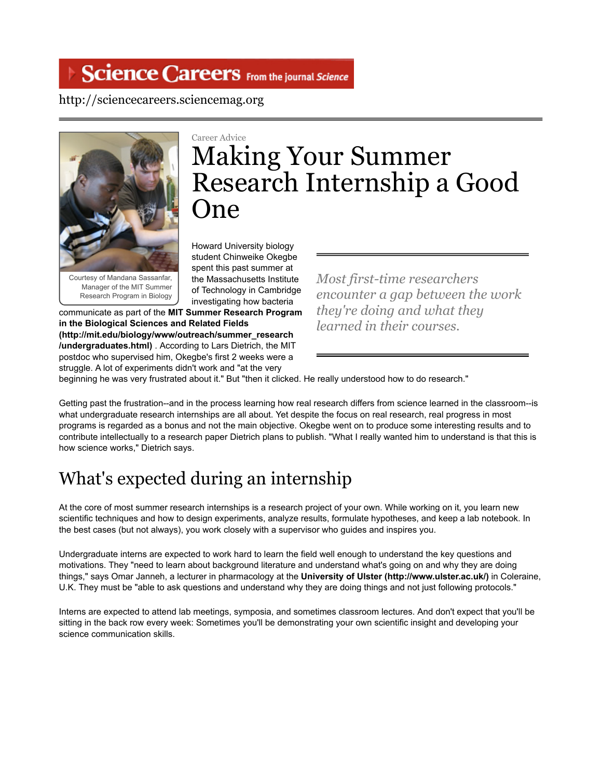## Science Careers From the journal Science

#### http://sciencecareers.sciencemag.org



Courtesy of Mandana Sassanfar, Manager of the MIT Summer Research Program in Biology

Career Advice

# Making Your Summer Research Internship a Good One

Howard University biology student Chinweike Okegbe spent this past summer at the Massachusetts Institute of Technology in Cambridge investigating how bacteria

communicate as part of the **MIT Summer Research Program in the Biological Sciences and Related Fields (http://mit.edu/biology/www/outreach/summer\_research /undergraduates.html)** . According to Lars Dietrich, the MIT postdoc who supervised him, Okegbe's first 2 weeks were a struggle. A lot of experiments didn't work and "at the very

*Most first-time researchers encounter a gap between the work they're doing and what they learned in their courses.*

beginning he was very frustrated about it." But "then it clicked. He really understood how to do research."

Getting past the frustration--and in the process learning how real research differs from science learned in the classroom--is what undergraduate research internships are all about. Yet despite the focus on real research, real progress in most programs is regarded as a bonus and not the main objective. Okegbe went on to produce some interesting results and to contribute intellectually to a research paper Dietrich plans to publish. "What I really wanted him to understand is that this is how science works," Dietrich says.

# What's expected during an internship

At the core of most summer research internships is a research project of your own. While working on it, you learn new scientific techniques and how to design experiments, analyze results, formulate hypotheses, and keep a lab notebook. In the best cases (but not always), you work closely with a supervisor who guides and inspires you.

Undergraduate interns are expected to work hard to learn the field well enough to understand the key questions and motivations. They "need to learn about background literature and understand what's going on and why they are doing things," says Omar Janneh, a lecturer in pharmacology at the **University of Ulster (http://www.ulster.ac.uk/)** in Coleraine, U.K. They must be "able to ask questions and understand why they are doing things and not just following protocols."

Interns are expected to attend lab meetings, symposia, and sometimes classroom lectures. And don't expect that you'll be sitting in the back row every week: Sometimes you'll be demonstrating your own scientific insight and developing your science communication skills.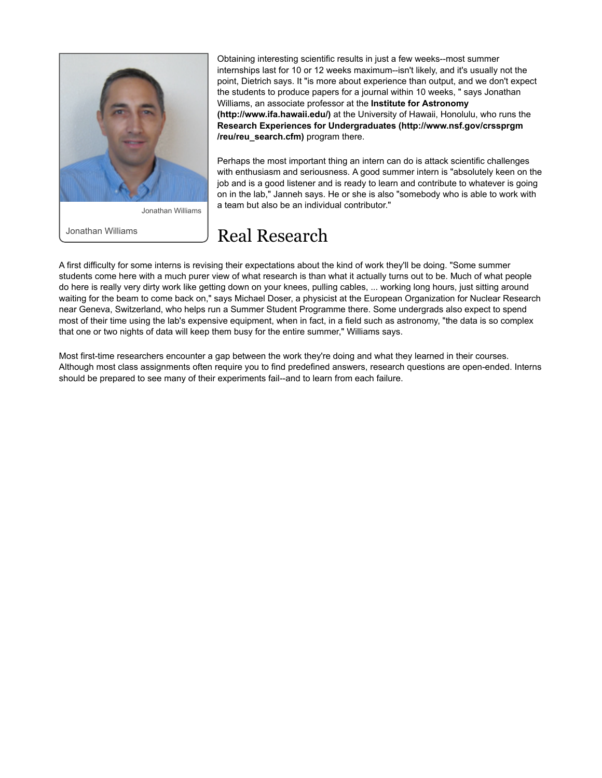

Jonathan Williams

Jonathan Williams

Obtaining interesting scientific results in just a few weeks--most summer internships last for 10 or 12 weeks maximum--isn't likely, and it's usually not the point, Dietrich says. It "is more about experience than output, and we don't expect the students to produce papers for a journal within 10 weeks, " says Jonathan Williams, an associate professor at the **Institute for Astronomy (http://www.ifa.hawaii.edu/)** at the University of Hawaii, Honolulu, who runs the **Research Experiences for Undergraduates (http://www.nsf.gov/crssprgm /reu/reu\_search.cfm)** program there.

Perhaps the most important thing an intern can do is attack scientific challenges with enthusiasm and seriousness. A good summer intern is "absolutely keen on the job and is a good listener and is ready to learn and contribute to whatever is going on in the lab," Janneh says. He or she is also "somebody who is able to work with a team but also be an individual contributor."

### Real Research

A first difficulty for some interns is revising their expectations about the kind of work they'll be doing. "Some summer students come here with a much purer view of what research is than what it actually turns out to be. Much of what people do here is really very dirty work like getting down on your knees, pulling cables, ... working long hours, just sitting around waiting for the beam to come back on," says Michael Doser, a physicist at the European Organization for Nuclear Research near Geneva, Switzerland, who helps run a Summer Student Programme there. Some undergrads also expect to spend most of their time using the lab's expensive equipment, when in fact, in a field such as astronomy, "the data is so complex that one or two nights of data will keep them busy for the entire summer," Williams says.

Most first-time researchers encounter a gap between the work they're doing and what they learned in their courses. Although most class assignments often require you to find predefined answers, research questions are open-ended. Interns should be prepared to see many of their experiments fail--and to learn from each failure.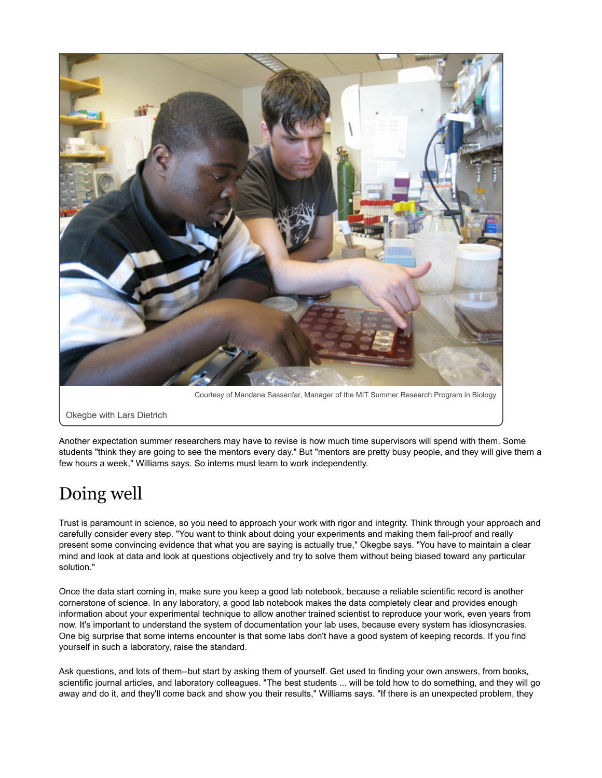

Courtesy of Mandana Sassanfar, Manager of the MIT Summer Research Program in Biology

Okegbe with Lars Dietrich

Another expectation summer researchers may have to revise is how much time supervisors will spend with them. Some students "think they are going to see the mentors every day." But "mentors are pretty busy people, and they will give them a few hours a week," Williams says. So interns must learn to work independently.

# Doing well

Trust is paramount in science, so you need to approach your work with rigor and integrity. Think through your approach and carefully consider every step. "You want to think about doing your experiments and making them fail-proof and really present some convincing evidence that what you are saying is actually true," Okegbe says. "You have to maintain a clear mind and look at data and look at questions objectively and try to solve them without being biased toward any particular solution."

Once the data start coming in, make sure you keep a good lab notebook, because a reliable scientific record is another cornerstone of science. In any laboratory, a good lab notebook makes the data completely clear and provides enough information about your experimental technique to allow another trained scientist to reproduce your work, even years from now. It's important to understand the system of documentation your lab uses, because every system has idiosyncrasies. One big surprise that some interns encounter is that some labs don't have a good system of keeping records. If you find yourself in such a laboratory, raise the standard.

Ask questions, and lots of them--but start by asking them of yourself. Get used to finding your own answers, from books, scientific journal articles, and laboratory colleagues. "The best students ... will be told how to do something, and they will go away and do it, and they'll come back and show you their results," Williams says. "If there is an unexpected problem, they